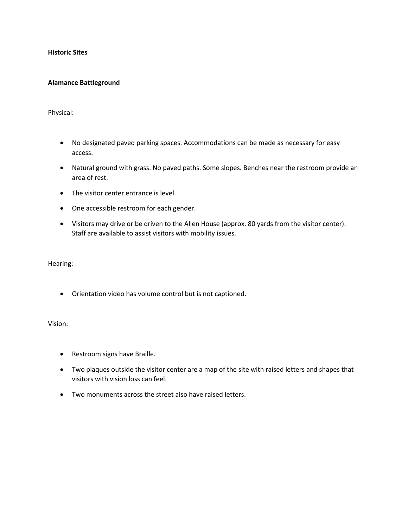**Historic Sites**

### **Alamance Battleground**

Physical:

- No designated paved parking spaces. Accommodations can be made as necessary for easy access.
- Natural ground with grass. No paved paths. Some slopes. Benches near the restroom provide an area of rest.
- The visitor center entrance is level.
- One accessible restroom for each gender.
- Visitors may drive or be driven to the Allen House (approx. 80 yards from the visitor center). Staff are available to assist visitors with mobility issues.

Hearing:

• Orientation video has volume control but is not captioned.

Vision:

- Restroom signs have Braille.
- Two plaques outside the visitor center are a map of the site with raised letters and shapes that visitors with vision loss can feel.
- Two monuments across the street also have raised letters.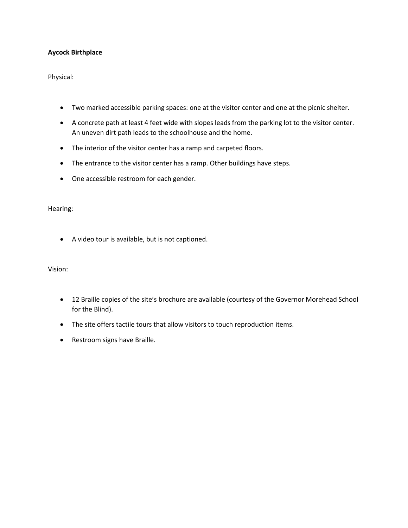# **Aycock Birthplace**

Physical:

- Two marked accessible parking spaces: one at the visitor center and one at the picnic shelter.
- A concrete path at least 4 feet wide with slopes leads from the parking lot to the visitor center. An uneven dirt path leads to the schoolhouse and the home.
- The interior of the visitor center has a ramp and carpeted floors.
- The entrance to the visitor center has a ramp. Other buildings have steps.
- One accessible restroom for each gender.

## Hearing:

• A video tour is available, but is not captioned.

Vision:

- 12 Braille copies of the site's brochure are available (courtesy of the Governor Morehead School for the Blind).
- The site offers tactile tours that allow visitors to touch reproduction items.
- Restroom signs have Braille.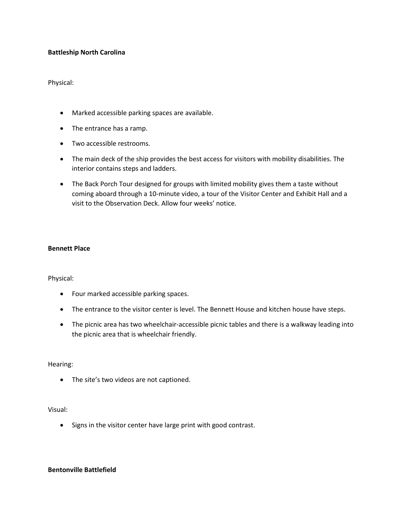## **Battleship North Carolina**

Physical:

- Marked accessible parking spaces are available.
- The entrance has a ramp.
- Two accessible restrooms.
- The main deck of the ship provides the best access for visitors with mobility disabilities. The interior contains steps and ladders.
- The Back Porch Tour designed for groups with limited mobility gives them a taste without coming aboard through a 10-minute video, a tour of the Visitor Center and Exhibit Hall and a visit to the Observation Deck. Allow four weeks' notice.

#### **Bennett Place**

Physical:

- Four marked accessible parking spaces.
- The entrance to the visitor center is level. The Bennett House and kitchen house have steps.
- The picnic area has two wheelchair-accessible picnic tables and there is a walkway leading into the picnic area that is wheelchair friendly.

Hearing:

• The site's two videos are not captioned.

#### Visual:

• Signs in the visitor center have large print with good contrast.

#### **Bentonville Battlefield**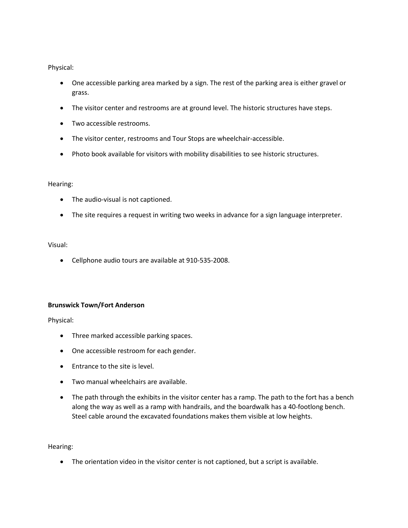Physical:

- One accessible parking area marked by a sign. The rest of the parking area is either gravel or grass.
- The visitor center and restrooms are at ground level. The historic structures have steps.
- Two accessible restrooms.
- The visitor center, restrooms and Tour Stops are wheelchair-accessible.
- Photo book available for visitors with mobility disabilities to see historic structures.

### Hearing:

- The audio-visual is not captioned.
- The site requires a request in writing two weeks in advance for a sign language interpreter.

### Visual:

• Cellphone audio tours are available at 910-535-2008.

## **Brunswick Town/Fort Anderson**

Physical:

- Three marked accessible parking spaces.
- One accessible restroom for each gender.
- Entrance to the site is level.
- Two manual wheelchairs are available.
- The path through the exhibits in the visitor center has a ramp. The path to the fort has a bench along the way as well as a ramp with handrails, and the boardwalk has a 40-footlong bench. Steel cable around the excavated foundations makes them visible at low heights.

Hearing:

• The orientation video in the visitor center is not captioned, but a script is available.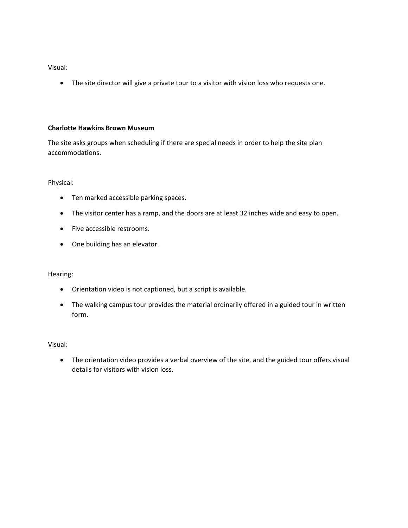Visual:

• The site director will give a private tour to a visitor with vision loss who requests one.

## **Charlotte Hawkins Brown Museum**

The site asks groups when scheduling if there are special needs in order to help the site plan accommodations.

Physical:

- Ten marked accessible parking spaces.
- The visitor center has a ramp, and the doors are at least 32 inches wide and easy to open.
- Five accessible restrooms.
- One building has an elevator.

Hearing:

- Orientation video is not captioned, but a script is available.
- The walking campus tour provides the material ordinarily offered in a guided tour in written form.

Visual:

• The orientation video provides a verbal overview of the site, and the guided tour offers visual details for visitors with vision loss.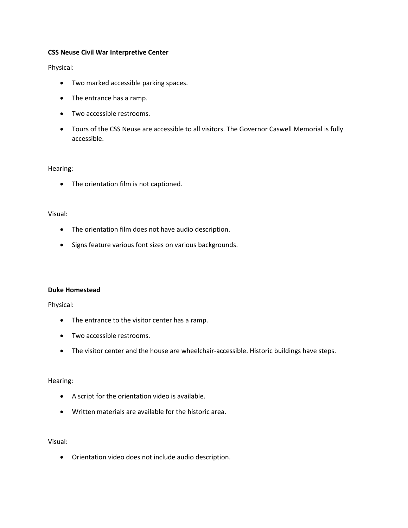### **CSS Neuse Civil War Interpretive Center**

Physical:

- Two marked accessible parking spaces.
- The entrance has a ramp.
- Two accessible restrooms.
- Tours of the CSS Neuse are accessible to all visitors. The Governor Caswell Memorial is fully accessible.

#### Hearing:

• The orientation film is not captioned.

## Visual:

- The orientation film does not have audio description.
- Signs feature various font sizes on various backgrounds.

#### **Duke Homestead**

Physical:

- The entrance to the visitor center has a ramp.
- Two accessible restrooms.
- The visitor center and the house are wheelchair-accessible. Historic buildings have steps.

## Hearing:

- A script for the orientation video is available.
- Written materials are available for the historic area.

#### Visual:

• Orientation video does not include audio description.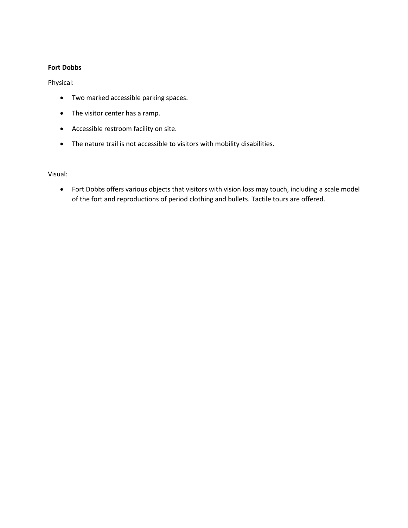## **Fort Dobbs**

Physical:

- Two marked accessible parking spaces.
- The visitor center has a ramp.
- Accessible restroom facility on site.
- The nature trail is not accessible to visitors with mobility disabilities.

Visual:

• Fort Dobbs offers various objects that visitors with vision loss may touch, including a scale model of the fort and reproductions of period clothing and bullets. Tactile tours are offered.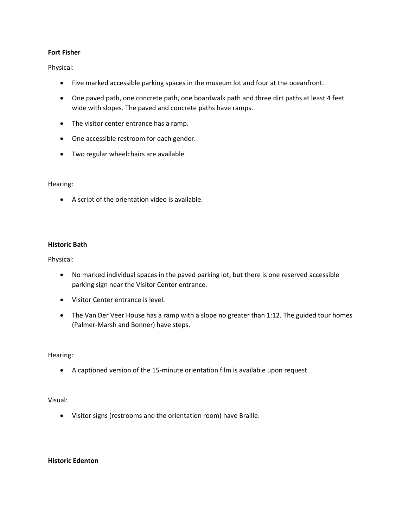## **Fort Fisher**

Physical:

- Five marked accessible parking spaces in the museum lot and four at the oceanfront.
- One paved path, one concrete path, one boardwalk path and three dirt paths at least 4 feet wide with slopes. The paved and concrete paths have ramps.
- The visitor center entrance has a ramp.
- One accessible restroom for each gender.
- Two regular wheelchairs are available.

### Hearing:

• A script of the orientation video is available.

### **Historic Bath**

Physical:

- No marked individual spaces in the paved parking lot, but there is one reserved accessible parking sign near the Visitor Center entrance.
- Visitor Center entrance is level.
- The Van Der Veer House has a ramp with a slope no greater than 1:12. The guided tour homes (Palmer-Marsh and Bonner) have steps.

#### Hearing:

• A captioned version of the 15-minute orientation film is available upon request.

#### Visual:

• Visitor signs (restrooms and the orientation room) have Braille.

#### **Historic Edenton**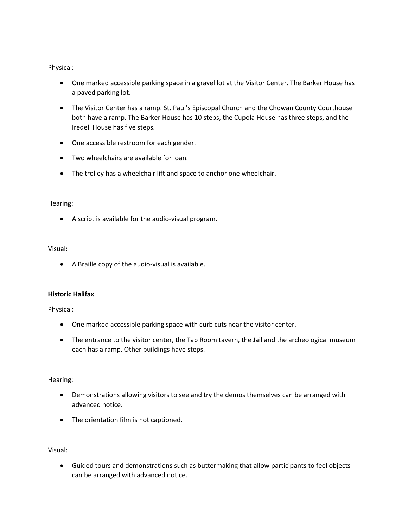Physical:

- One marked accessible parking space in a gravel lot at the Visitor Center. The Barker House has a paved parking lot.
- The Visitor Center has a ramp. St. Paul's Episcopal Church and the Chowan County Courthouse both have a ramp. The Barker House has 10 steps, the Cupola House has three steps, and the Iredell House has five steps.
- One accessible restroom for each gender.
- Two wheelchairs are available for loan.
- The trolley has a wheelchair lift and space to anchor one wheelchair.

# Hearing:

• A script is available for the audio-visual program.

# Visual:

• A Braille copy of the audio-visual is available.

## **Historic Halifax**

Physical:

- One marked accessible parking space with curb cuts near the visitor center.
- The entrance to the visitor center, the Tap Room tavern, the Jail and the archeological museum each has a ramp. Other buildings have steps.

# Hearing:

- Demonstrations allowing visitors to see and try the demos themselves can be arranged with advanced notice.
- The orientation film is not captioned.

Visual:

• Guided tours and demonstrations such as buttermaking that allow participants to feel objects can be arranged with advanced notice.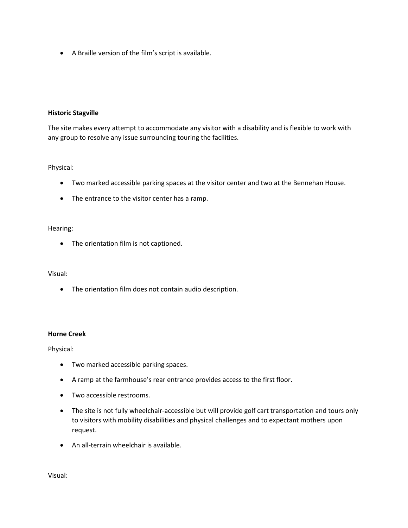• A Braille version of the film's script is available.

## **Historic Stagville**

The site makes every attempt to accommodate any visitor with a disability and is flexible to work with any group to resolve any issue surrounding touring the facilities.

# Physical:

- Two marked accessible parking spaces at the visitor center and two at the Bennehan House.
- The entrance to the visitor center has a ramp.

## Hearing:

• The orientation film is not captioned.

## Visual:

• The orientation film does not contain audio description.

## **Horne Creek**

Physical:

- Two marked accessible parking spaces.
- A ramp at the farmhouse's rear entrance provides access to the first floor.
- Two accessible restrooms.
- The site is not fully wheelchair-accessible but will provide golf cart transportation and tours only to visitors with mobility disabilities and physical challenges and to expectant mothers upon request.
- An all-terrain wheelchair is available.

Visual: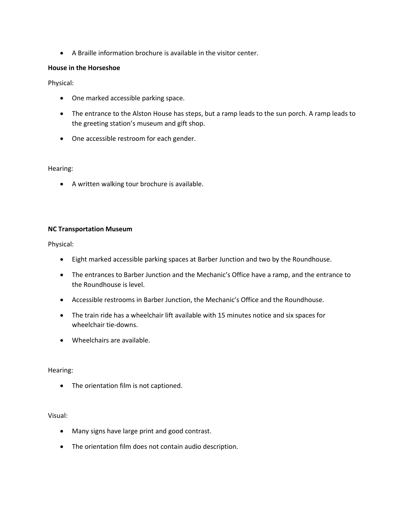• A Braille information brochure is available in the visitor center.

## **House in the Horseshoe**

Physical:

- One marked accessible parking space.
- The entrance to the Alston House has steps, but a ramp leads to the sun porch. A ramp leads to the greeting station's museum and gift shop.
- One accessible restroom for each gender.

### Hearing:

• A written walking tour brochure is available.

## **NC Transportation Museum**

Physical:

- Eight marked accessible parking spaces at Barber Junction and two by the Roundhouse.
- The entrances to Barber Junction and the Mechanic's Office have a ramp, and the entrance to the Roundhouse is level.
- Accessible restrooms in Barber Junction, the Mechanic's Office and the Roundhouse.
- The train ride has a wheelchair lift available with 15 minutes notice and six spaces for wheelchair tie-downs.
- Wheelchairs are available.

## Hearing:

• The orientation film is not captioned.

## Visual:

- Many signs have large print and good contrast.
- The orientation film does not contain audio description.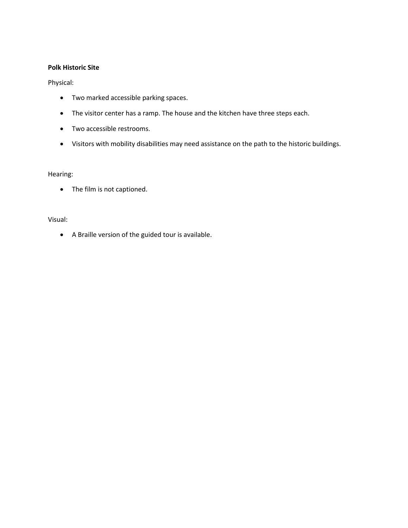## **Polk Historic Site**

## Physical:

- Two marked accessible parking spaces.
- The visitor center has a ramp. The house and the kitchen have three steps each.
- Two accessible restrooms.
- Visitors with mobility disabilities may need assistance on the path to the historic buildings.

## Hearing:

• The film is not captioned.

### Visual:

• A Braille version of the guided tour is available.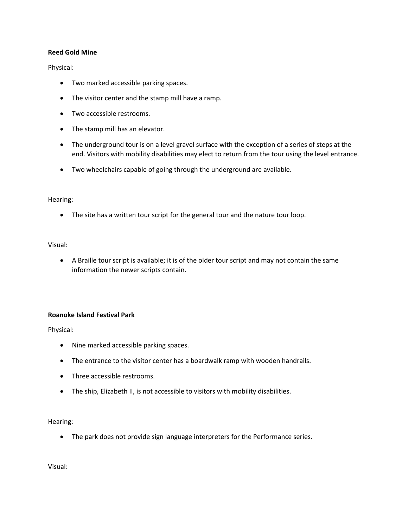## **Reed Gold Mine**

Physical:

- Two marked accessible parking spaces.
- The visitor center and the stamp mill have a ramp.
- Two accessible restrooms.
- The stamp mill has an elevator.
- The underground tour is on a level gravel surface with the exception of a series of steps at the end. Visitors with mobility disabilities may elect to return from the tour using the level entrance.
- Two wheelchairs capable of going through the underground are available.

### Hearing:

• The site has a written tour script for the general tour and the nature tour loop.

### Visual:

• A Braille tour script is available; it is of the older tour script and may not contain the same information the newer scripts contain.

## **Roanoke Island Festival Park**

Physical:

- Nine marked accessible parking spaces.
- The entrance to the visitor center has a boardwalk ramp with wooden handrails.
- Three accessible restrooms.
- The ship, Elizabeth II, is not accessible to visitors with mobility disabilities.

## Hearing:

• The park does not provide sign language interpreters for the Performance series.

Visual: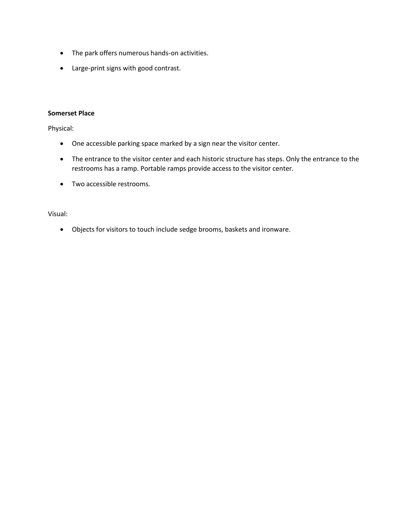- The park offers numerous hands-on activities.
- Large-print signs with good contrast.

### **Somerset Place**

Physical:

- One accessible parking space marked by a sign near the visitor center.
- The entrance to the visitor center and each historic structure has steps. Only the entrance to the restrooms has a ramp. Portable ramps provide access to the visitor center.
- Two accessible restrooms.

Visual:

• Objects for visitors to touch include sedge brooms, baskets and ironware.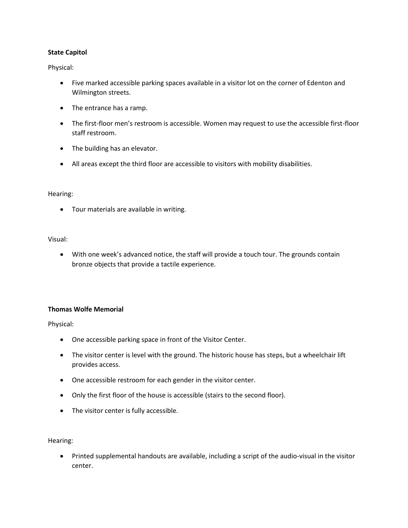## **State Capitol**

Physical:

- Five marked accessible parking spaces available in a visitor lot on the corner of Edenton and Wilmington streets.
- The entrance has a ramp.
- The first-floor men's restroom is accessible. Women may request to use the accessible first-floor staff restroom.
- The building has an elevator.
- All areas except the third floor are accessible to visitors with mobility disabilities.

### Hearing:

• Tour materials are available in writing.

### Visual:

• With one week's advanced notice, the staff will provide a touch tour. The grounds contain bronze objects that provide a tactile experience.

## **Thomas Wolfe Memorial**

Physical:

- One accessible parking space in front of the Visitor Center.
- The visitor center is level with the ground. The historic house has steps, but a wheelchair lift provides access.
- One accessible restroom for each gender in the visitor center.
- Only the first floor of the house is accessible (stairs to the second floor).
- The visitor center is fully accessible.

Hearing:

• Printed supplemental handouts are available, including a script of the audio-visual in the visitor center.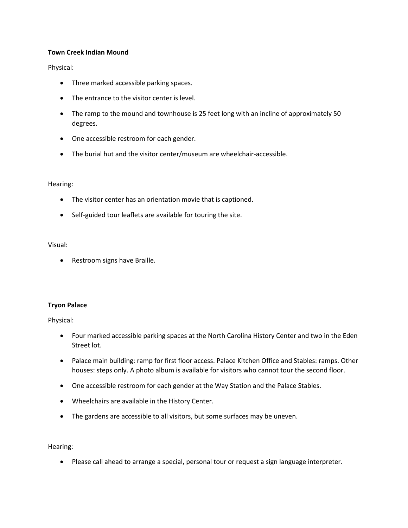### **Town Creek Indian Mound**

Physical:

- Three marked accessible parking spaces.
- The entrance to the visitor center is level.
- The ramp to the mound and townhouse is 25 feet long with an incline of approximately 50 degrees.
- One accessible restroom for each gender.
- The burial hut and the visitor center/museum are wheelchair-accessible.

### Hearing:

- The visitor center has an orientation movie that is captioned.
- Self-guided tour leaflets are available for touring the site.

### Visual:

• Restroom signs have Braille.

#### **Tryon Palace**

Physical:

- Four marked accessible parking spaces at the North Carolina History Center and two in the Eden Street lot.
- Palace main building: ramp for first floor access. Palace Kitchen Office and Stables: ramps. Other houses: steps only. A photo album is available for visitors who cannot tour the second floor.
- One accessible restroom for each gender at the Way Station and the Palace Stables.
- Wheelchairs are available in the History Center.
- The gardens are accessible to all visitors, but some surfaces may be uneven.

Hearing:

• Please call ahead to arrange a special, personal tour or request a sign language interpreter.